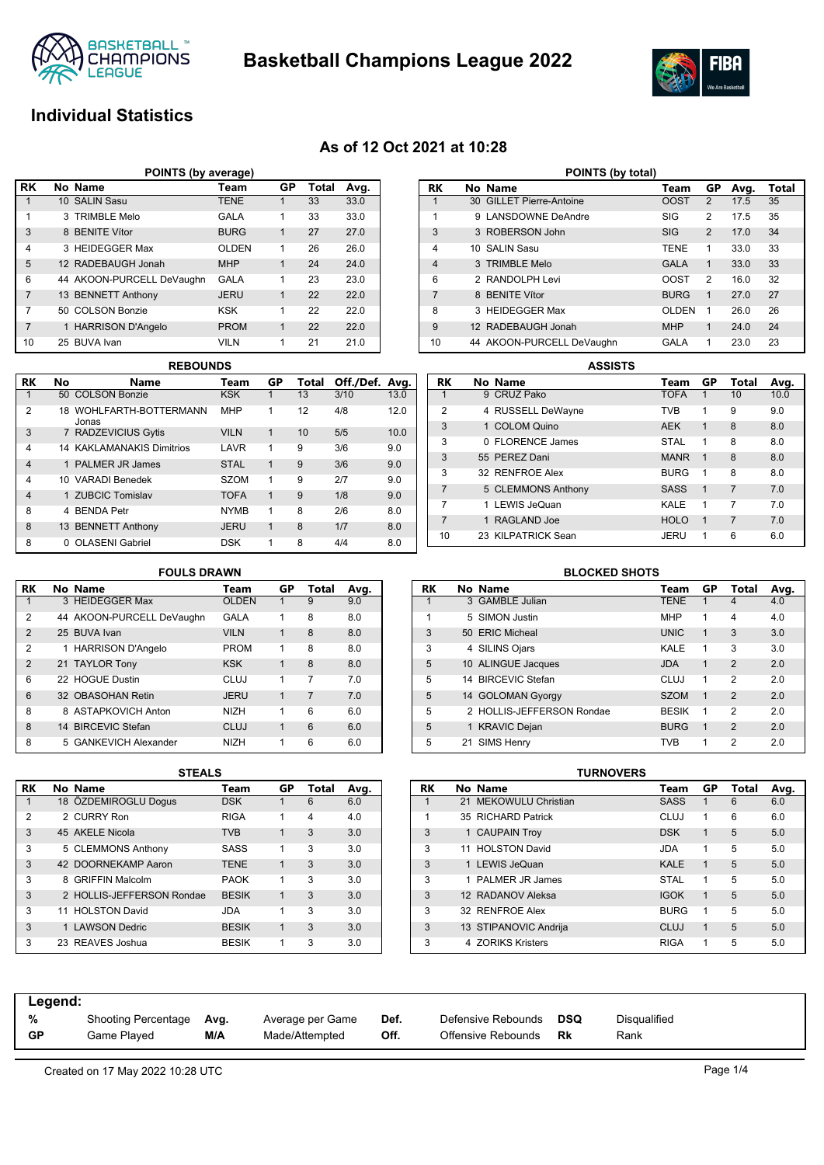



## **Individual Statistics**

## **As of 12 Oct 2021 at 10:28**

| POINTS (by average) |  |                           |              |             |       |      |  |  |  |  |  |
|---------------------|--|---------------------------|--------------|-------------|-------|------|--|--|--|--|--|
| RK                  |  | No Name                   | Team         | GP          | Total | Avg. |  |  |  |  |  |
|                     |  | 10 SALIN Sasu             | <b>TENE</b>  | 1           | 33    | 33.0 |  |  |  |  |  |
| 1                   |  | 3 TRIMBLE Melo            | <b>GALA</b>  | 1           | 33    | 33.0 |  |  |  |  |  |
| 3                   |  | 8 BENITE Vítor            | <b>BURG</b>  | 1           | 27    | 27.0 |  |  |  |  |  |
| $\overline{4}$      |  | 3 HEIDEGGER Max           | <b>OLDEN</b> | 1           | 26    | 26.0 |  |  |  |  |  |
| 5                   |  | 12 RADEBAUGH Jonah        | <b>MHP</b>   | 1           | 24    | 24.0 |  |  |  |  |  |
| 6                   |  | 44 AKOON-PURCELL DeVaughn | <b>GALA</b>  | 1           | 23    | 23.0 |  |  |  |  |  |
| $\overline{7}$      |  | 13 BENNETT Anthony        | <b>JERU</b>  | $\mathbf 1$ | 22    | 22.0 |  |  |  |  |  |
| 7                   |  | 50 COLSON Bonzie          | <b>KSK</b>   | 1           | 22    | 22.0 |  |  |  |  |  |
| $\overline{7}$      |  | 1 HARRISON D'Angelo       | <b>PROM</b>  | 1           | 22    | 22.0 |  |  |  |  |  |
| 10                  |  | 25 BUVA Ivan              | <b>VILN</b>  | 1           | 21    | 21.0 |  |  |  |  |  |

|                | <b>REBOUNDS</b> |                                  |             |             |       |                |      |  |  |  |  |  |  |
|----------------|-----------------|----------------------------------|-------------|-------------|-------|----------------|------|--|--|--|--|--|--|
| RK             | No              | <b>Name</b>                      | Team        | GP          | Total | Off./Def. Avg. |      |  |  |  |  |  |  |
| 1              |                 | 50 COLSON Bonzie                 | <b>KSK</b>  | 1           | 13    | 3/10           | 13.0 |  |  |  |  |  |  |
| 2              |                 | 18 WOHLFARTH-BOTTERMANN<br>Jonas | <b>MHP</b>  | 1           | 12    | 4/8            | 12.0 |  |  |  |  |  |  |
| 3              |                 | 7 RADZEVICIUS Gytis              | <b>VILN</b> | 1           | 10    | 5/5            | 10.0 |  |  |  |  |  |  |
| $\overline{4}$ |                 | <b>14 KAKLAMANAKIS Dimitrios</b> | LAVR        | 1           | 9     | 3/6            | 9.0  |  |  |  |  |  |  |
| $\overline{4}$ |                 | 1 PALMER JR James                | <b>STAL</b> | 1           | 9     | 3/6            | 9.0  |  |  |  |  |  |  |
| $\overline{4}$ |                 | 10 VARADI Benedek                | <b>SZOM</b> | 1           | 9     | 2/7            | 9.0  |  |  |  |  |  |  |
| $\overline{4}$ |                 | 1 ZUBCIC Tomislav                | <b>TOFA</b> | $\mathbf 1$ | 9     | 1/8            | 9.0  |  |  |  |  |  |  |
| 8              |                 | 4 BENDA Petr                     | <b>NYMB</b> | 1           | 8     | 2/6            | 8.0  |  |  |  |  |  |  |
| 8              |                 | 13 BENNETT Anthony               | <b>JERU</b> | 1           | 8     | 1/7            | 8.0  |  |  |  |  |  |  |
| 8              | 0               | <b>OLASENI Gabriel</b>           | <b>DSK</b>  | 1           | 8     | 4/4            | 8.0  |  |  |  |  |  |  |

|                | POINTS (by total) |                           |              |                |      |       |  |  |  |  |
|----------------|-------------------|---------------------------|--------------|----------------|------|-------|--|--|--|--|
| RK             |                   | No Name                   | Team         | GP             | Ava. | Total |  |  |  |  |
| 1              |                   | 30 GILLET Pierre-Antoine  | <b>OOST</b>  | 2              | 17.5 | 35    |  |  |  |  |
| 1              |                   | 9 LANSDOWNE DeAndre       | <b>SIG</b>   | $\overline{2}$ | 17.5 | 35    |  |  |  |  |
| 3              |                   | 3 ROBERSON John           | <b>SIG</b>   | 2              | 17.0 | 34    |  |  |  |  |
| 4              |                   | 10 SALIN Sasu             | <b>TENE</b>  | 1              | 33.0 | 33    |  |  |  |  |
| $\overline{4}$ |                   | 3 TRIMBLE Melo            | <b>GALA</b>  | 1              | 33.0 | 33    |  |  |  |  |
| 6              |                   | 2 RANDOLPH Levi           | <b>OOST</b>  | 2              | 16.0 | 32    |  |  |  |  |
| $\overline{7}$ |                   | 8 BENITE Vítor            | <b>BURG</b>  | 1              | 27.0 | 27    |  |  |  |  |
| 8              |                   | 3 HEIDEGGER Max           | <b>OLDEN</b> | 1              | 26.0 | 26    |  |  |  |  |
| 9              |                   | 12 RADEBAUGH Jonah        | <b>MHP</b>   | 1              | 24.0 | 24    |  |  |  |  |
| 10             |                   | 44 AKOON-PURCELL DeVaughn | GALA         | 1              | 23.0 | 23    |  |  |  |  |

|                | <b>ASSISTS</b>     |             |    |                |      |  |
|----------------|--------------------|-------------|----|----------------|------|--|
| RK             | No Name            | Team        | GP | Total          | Avg. |  |
|                | 9 CRUZ Pako        | <b>TOFA</b> | 1  | 10             | 10.0 |  |
| $\overline{2}$ | 4 RUSSELL DeWayne  | <b>TVB</b>  | 1  | 9              | 9.0  |  |
| 3              | 1 COLOM Quino      | <b>AEK</b>  | 1  | 8              | 8.0  |  |
| 3              | 0 FLORENCE James   | <b>STAL</b> | 1  | 8              | 8.0  |  |
| 3              | 55 PEREZ Dani      | <b>MANR</b> | 1  | 8              | 8.0  |  |
| 3              | 32 RENFROE Alex    | <b>BURG</b> | 1  | 8              | 8.0  |  |
| 7              | 5 CLEMMONS Anthony | <b>SASS</b> | 1  | $\overline{7}$ | 7.0  |  |
| 7              | 1 LEWIS JeQuan     | KALE        | 1  | 7              | 7.0  |  |
| 7              | 1 RAGLAND Joe      | <b>HOLO</b> | 1  | $\overline{7}$ | 7.0  |  |
| 10             | 23 KILPATRICK Sean | JERU        | 1  | 6              | 6.0  |  |

### **FOULS DRAWN**

| RK             | No Name                   | Team         | GP | Total | Avg. |
|----------------|---------------------------|--------------|----|-------|------|
| 1              | 3 HEIDEGGER Max           | <b>OLDEN</b> | 1  | 9     | 9.0  |
| $\overline{2}$ | 44 AKOON-PURCELL DeVaughn | GALA         | 1  | 8     | 8.0  |
| $\overline{2}$ | 25 BUVA Ivan              | <b>VILN</b>  | 1  | 8     | 8.0  |
| $\overline{2}$ | 1 HARRISON D'Angelo       | <b>PROM</b>  | 1  | 8     | 8.0  |
| $\overline{2}$ | 21 TAYLOR Tony            | <b>KSK</b>   | 1  | 8     | 8.0  |
| 6              | 22 HOGUE Dustin           | CLUJ         | 1  | 7     | 7.0  |
| 6              | 32 OBASOHAN Retin         | <b>JERU</b>  | 1  | 7     | 7.0  |
| 8              | 8 ASTAPKOVICH Anton       | <b>NIZH</b>  | 1  | 6     | 6.0  |
| 8              | 14 BIRCEVIC Stefan        | <b>CLUJ</b>  | 1  | 6     | 6.0  |
| 8              | 5 GANKEVICH Alexander     | <b>NIZH</b>  | 1  | 6     | 6.0  |

| RK             | No Name                                                                                          | Team        | GP.            | Total  | Avg.          |
|----------------|--------------------------------------------------------------------------------------------------|-------------|----------------|--------|---------------|
| $\overline{1}$ | 3 GAMBLE Julian                                                                                  | <b>TENE</b> |                | 4      | 4.0           |
|                | 5 SIMON Justin                                                                                   | <b>MHP</b>  |                | Δ      | 4.0           |
| 3              | 50 ERIC Micheal                                                                                  | <b>UNIC</b> |                |        | 3.0           |
| 3              | 4 SILINS Ojars                                                                                   | KALE        |                |        | 3.0           |
|                | $\overline{10}$ $\overline{11}$ $\overline{110}$ $\overline{11}$ $\overline{11}$ $\overline{11}$ | $\sum$      | $\overline{1}$ | $\sim$ | $\sim$ $\sim$ |

**BLOCKED SHOTS**

| 3 | 4 SILINS Ojars            | KALE         |   | 3              | 3.0 |
|---|---------------------------|--------------|---|----------------|-----|
| 5 | 10 ALINGUE Jacques        | JDA          | 1 | 2              | 2.0 |
| 5 | 14 BIRCEVIC Stefan        | CLUJ         | 1 | 2              | 2.0 |
| 5 | 14 GOLOMAN Gyorgy         | <b>SZOM</b>  | 1 | $\mathcal{P}$  | 2.0 |
| 5 | 2 HOLLIS-JEFFERSON Rondae | <b>BESIK</b> | 1 | 2              | 2.0 |
| 5 | 1 KRAVIC Dejan            | <b>BURG</b>  | 1 | $\overline{2}$ | 2.0 |
| 5 | 21 SIMS Henry             | <b>TVR</b>   | 1 | 2              | 2.0 |

| RK |   | No Name                   | Team         | GP | Total | Avg. |
|----|---|---------------------------|--------------|----|-------|------|
| 1  |   | 18 ÖZDEMIROGLU Dogus      | <b>DSK</b>   | 1  | 6     | 6.0  |
| 2  |   | 2 CURRY Ron               | <b>RIGA</b>  | 1  | 4     | 4.0  |
| 3  |   | 45 AKELE Nicola           | <b>TVB</b>   | 1  | 3     | 3.0  |
| 3  |   | 5 CLEMMONS Anthony        | SASS         | 1  | 3     | 3.0  |
| 3  |   | 42 DOORNEKAMP Aaron       | <b>TENE</b>  | 1  | 3     | 3.0  |
| 3  | 8 | <b>GRIFFIN Malcolm</b>    | <b>PAOK</b>  | 1  | 3     | 3.0  |
| 3  |   | 2 HOLLIS-JEFFERSON Rondae | <b>BESIK</b> | 1  | 3     | 3.0  |
| 3  |   | 11 HOLSTON David          | <b>JDA</b>   | 1  | 3     | 3.0  |
| 3  |   | 1 LAWSON Dedric           | <b>BESIK</b> | 1  | 3     | 3.0  |
| 3  |   | 23 REAVES Joshua          | <b>BESIK</b> | 1  | 3     | 3.0  |

| STEALS |              |    |       |      |           | <b>TURNOVERS</b>      |             |    |       |      |
|--------|--------------|----|-------|------|-----------|-----------------------|-------------|----|-------|------|
|        | Team         | GP | Total | Avg. | <b>RK</b> | No Name               | Team        | GP | Total | Avg. |
|        | <b>DSK</b>   |    | 6     | 6.0  |           | 21 MEKOWULU Christian | <b>SASS</b> |    | 6     | 6.0  |
|        | <b>RIGA</b>  |    | 4     | 4.0  |           | 35 RICHARD Patrick    | <b>CLUJ</b> |    | 6     | 6.0  |
|        | <b>TVB</b>   |    | 3     | 3.0  | 3         | 1 CAUPAIN Troy        | <b>DSK</b>  |    | 5     | 5.0  |
|        | SASS         |    | 3     | 3.0  | 3         | 11 HOLSTON David      | <b>JDA</b>  | 1. | 5     | 5.0  |
|        | <b>TENE</b>  |    | 3     | 3.0  | 3         | <b>LEWIS JeQuan</b>   | <b>KALE</b> | 1  | 5     | 5.0  |
|        | <b>PAOK</b>  |    | 3     | 3.0  | 3         | PALMER JR James       | <b>STAL</b> |    | 5     | 5.0  |
| ondae  | <b>BESIK</b> | 1  | 3     | 3.0  | 3         | 12 RADANOV Aleksa     | <b>IGOK</b> |    | 5     | 5.0  |
|        | <b>JDA</b>   |    | 3     | 3.0  | 3         | 32 RENFROE Alex       | <b>BURG</b> |    | 5     | 5.0  |
|        | <b>BESIK</b> | 1  | 3     | 3.0  | 3         | 13 STIPANOVIC Andrija | <b>CLUJ</b> |    | 5     | 5.0  |
|        | <b>BESIK</b> |    | 3     | 3.0  | 3         | 4 ZORIKS Kristers     | <b>RIGA</b> |    | 5     | 5.0  |

| Legend: |                            |      |                  |      |                    |     |              |
|---------|----------------------------|------|------------------|------|--------------------|-----|--------------|
| %       | <b>Shooting Percentage</b> | Avg. | Average per Game | Def. | Defensive Rebounds | DSQ | Disqualified |
| GP      | Game Plaved                | M/A  | Made/Attempted   | Off. | Offensive Rebounds | Rk  | Rank         |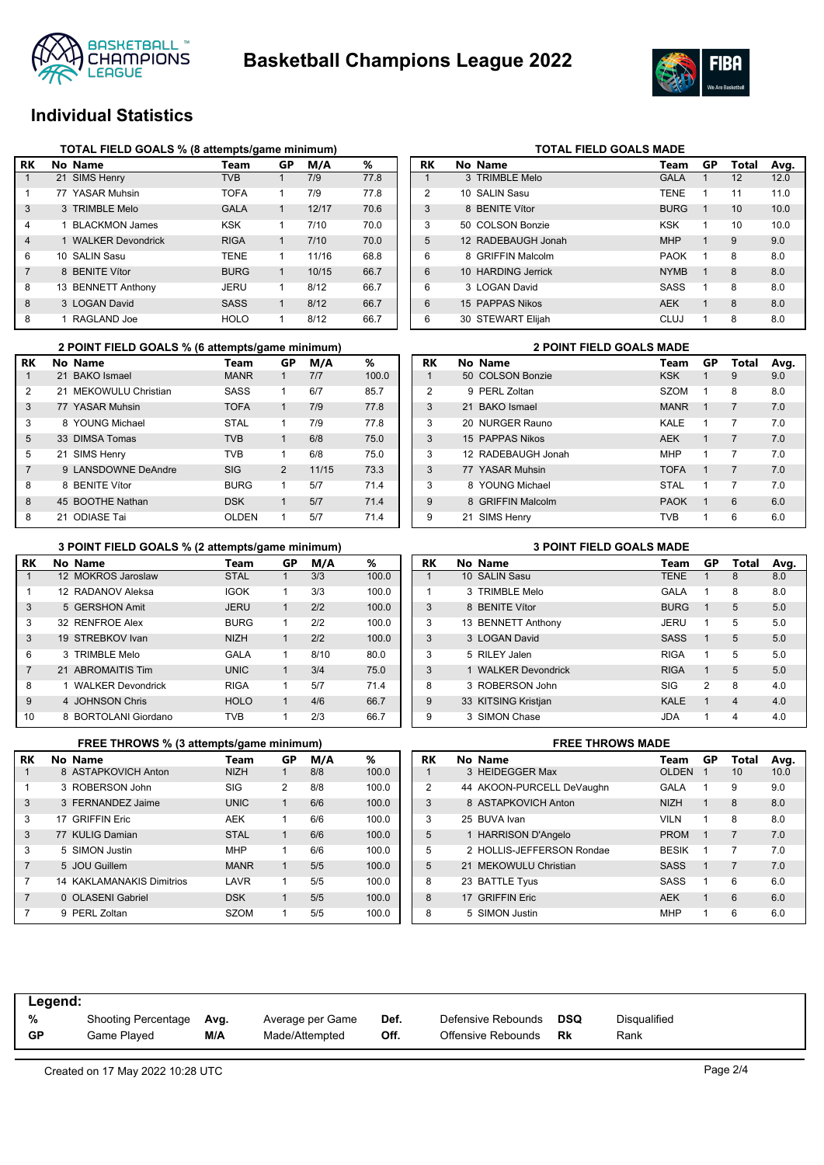



## **Individual Statistics**

|                | TOTAL FIELD GOALS % (8 attempts/game minimum) |                       |             |    |       |      |  |  |  |  |  |  |  |
|----------------|-----------------------------------------------|-----------------------|-------------|----|-------|------|--|--|--|--|--|--|--|
| RK             |                                               | No Name               | Team        | GP | M/A   | %    |  |  |  |  |  |  |  |
|                |                                               | 21 SIMS Henry         | <b>TVB</b>  |    | 7/9   | 77.8 |  |  |  |  |  |  |  |
| 1              |                                               | 77 YASAR Muhsin       | <b>TOFA</b> | 1  | 7/9   | 77.8 |  |  |  |  |  |  |  |
| 3              |                                               | 3 TRIMBLE Melo        | <b>GALA</b> | 1  | 12/17 | 70.6 |  |  |  |  |  |  |  |
| 4              | 1                                             | <b>BLACKMON James</b> | KSK         | 1  | 7/10  | 70.0 |  |  |  |  |  |  |  |
| $\overline{4}$ |                                               | 1 WALKER Devondrick   | <b>RIGA</b> | 1  | 7/10  | 70.0 |  |  |  |  |  |  |  |
| 6              |                                               | 10 SALIN Sasu         | <b>TENE</b> | 1  | 11/16 | 68.8 |  |  |  |  |  |  |  |
| 7              |                                               | 8 BENITE Vítor        | <b>BURG</b> | 1  | 10/15 | 66.7 |  |  |  |  |  |  |  |
| 8              |                                               | 13 BENNETT Anthony    | JERU        | 1  | 8/12  | 66.7 |  |  |  |  |  |  |  |
| 8              |                                               | 3 LOGAN David         | <b>SASS</b> | 1  | 8/12  | 66.7 |  |  |  |  |  |  |  |
| 8              | 1                                             | RAGLAND Joe           | <b>HOLO</b> | 1  | 8/12  | 66.7 |  |  |  |  |  |  |  |

| <b>RK</b>      | No Name            | <b>Team</b> | GP          | Total | Avg. |
|----------------|--------------------|-------------|-------------|-------|------|
| 1              | 3 TRIMBLE Melo     | <b>GALA</b> | 1           | 12    | 12.0 |
| $\overline{2}$ | 10 SALIN Sasu      | <b>TENE</b> | 1           | 11    | 11.0 |
| 3              | 8 BENITE Vítor     | <b>BURG</b> | 1           | 10    | 10.0 |
| 3              | 50 COLSON Bonzie   | <b>KSK</b>  | 1           | 10    | 10.0 |
| 5              | 12 RADEBAUGH Jonah | <b>MHP</b>  | 1           | 9     | 9.0  |
| 6              | 8 GRIFFIN Malcolm  | <b>PAOK</b> | 1           | 8     | 8.0  |
| 6              | 10 HARDING Jerrick | <b>NYMB</b> | $\mathbf 1$ | 8     | 8.0  |
| 6              | 3 LOGAN David      | <b>SASS</b> | 1           | 8     | 8.0  |
| 6              | 15 PAPPAS Nikos    | <b>AEK</b>  | 1           | 8     | 8.0  |
| 6              | 30 STEWART Elijah  | CLUJ        | 1           | 8     | 8.0  |
|                |                    |             |             |       |      |

**TOTAL FIELD GOALS MADE** 

|                | 2 POINT FIELD GOALS % (6 attempts/game minimum) |                     |              |    |       |       |  |                |   |  |  |  |
|----------------|-------------------------------------------------|---------------------|--------------|----|-------|-------|--|----------------|---|--|--|--|
| RK             |                                                 | No Name             | Team         | GP | M/A   | %     |  | <b>RK</b>      | r |  |  |  |
| $\mathbf{1}$   |                                                 | 21 BAKO Ismael      | <b>MANR</b>  |    | 7/7   | 100.0 |  |                |   |  |  |  |
| 2              | 21                                              | MEKOWULU Christian  | <b>SASS</b>  | 1  | 6/7   | 85.7  |  | $\overline{2}$ |   |  |  |  |
| 3              |                                                 | 77 YASAR Muhsin     | <b>TOFA</b>  | 1  | 7/9   | 77.8  |  | 3              |   |  |  |  |
| 3              |                                                 | 8 YOUNG Michael     | <b>STAL</b>  | 1  | 7/9   | 77.8  |  | 3              |   |  |  |  |
| 5              |                                                 | 33 DIMSA Tomas      | <b>TVB</b>   | 1  | 6/8   | 75.0  |  | 3              |   |  |  |  |
| 5              |                                                 | 21 SIMS Henry       | TVB          | 1  | 6/8   | 75.0  |  | 3              |   |  |  |  |
| $\overline{7}$ |                                                 | 9 LANSDOWNE DeAndre | <b>SIG</b>   | 2  | 11/15 | 73.3  |  | 3              |   |  |  |  |
| 8              |                                                 | 8 BENITE Vítor      | <b>BURG</b>  | 1  | 5/7   | 71.4  |  | 3              |   |  |  |  |
| 8              |                                                 | 45 BOOTHE Nathan    | <b>DSK</b>   | 1  | 5/7   | 71.4  |  | 9              |   |  |  |  |
| 8              |                                                 | 21 ODIASE Tai       | <b>OLDEN</b> | 1  | 5/7   | 71.4  |  | 9              |   |  |  |  |

### **Ream GP Total Avg.**<br> **RK H RK H RK H GP Total Avg.**<br> **RSK H GP RSK H GP GP** 1 50 COLSON Bonzie KSK 1 9 PERL Zoltan SZOM 1 8 8.0 21 BAKO Ismael MANR 1 7 7.0 20 NURGER Rauno KALE 1 7 7.0 15 PAPPAS Nikos AEK 1 7 7.0 12 RADEBAUGH Jonah MHP 1 7 7.0 **3 77 YASAR Muhsin TOFA 1 7 7.0** 8 YOUNG Michael STAL 1 7 7.0 8 GRIFFIN Malcolm **PAOK 1 6 6.0** 21 SIMS Henry **TVB** 1 6 6.0

**2 POINT FIELD GOALS % (6 attempts/game minimum) 2 POINT FIELD GOALS MADE**

### **RK No Name Team GP M/A %** 1 12 MOKROS Jaroslaw STAL 1 3/3 100.0 1 12 RADANOV Aleksa IGOK 1 3/3 100.0 3 5 GERSHON Amit **JERU** 1 2/2 100.0 3 32 RENFROE Alex BURG 1 2/2 100.0 3 19 STREBKOV Ivan NIZH 1 2/2 100.0 6 3 TRIMBLE Melo GALA 1 8/10 80.0 7 21 ABROMAITIS Tim UNIC 1 3/4 75.0 8 1 WALKER Devondrick RIGA 1 5/7 714 9 4 JOHNSON Chris HOLO 1 4/6 66.7 10 8 BORTOLANI Giordano TVB 1 2/3 66.7 **3 POINT FIELD GOALS % (2 attempts/game minimum) 3 POINT FIELD GOALS MADE**

|                | FREE THROWS % (3 attempts/game minimum) |             | <b>FREE THROWS MADE</b> |     |       |  |           |                           |                |
|----------------|-----------------------------------------|-------------|-------------------------|-----|-------|--|-----------|---------------------------|----------------|
| RK             | No Name                                 | Team        | GP                      | M/A | %     |  | <b>RK</b> | No Name                   | Τ              |
|                | 8 ASTAPKOVICH Anton                     | <b>NIZH</b> |                         | 8/8 | 100.0 |  |           | 3 HEIDEGGER Max           | O              |
| 1              | 3 ROBERSON John                         | <b>SIG</b>  | 2                       | 8/8 | 100.0 |  | 2         | 44 AKOON-PURCELL DeVaughn | G.             |
| 3              | 3 FERNANDEZ Jaime                       | <b>UNIC</b> | 1                       | 6/6 | 100.0 |  | 3         | 8 ASTAPKOVICH Anton       | N              |
| 3              | 17 GRIFFIN Eric                         | <b>AEK</b>  |                         | 6/6 | 100.0 |  | 3         | 25 BUVA Ivan              | VI             |
| 3              | 77 KULIG Damian                         | <b>STAL</b> | 1                       | 6/6 | 100.0 |  | 5         | 1 HARRISON D'Angelo       | PI             |
| 3              | 5 SIMON Justin                          | <b>MHP</b>  | 1                       | 6/6 | 100.0 |  | 5         | 2 HOLLIS-JEFFERSON Rondae | BI             |
| $\overline{7}$ | 5 JOU Guillem                           | <b>MANR</b> | $\mathbf{1}$            | 5/5 | 100.0 |  | 5         | 21 MEKOWULU Christian     | S              |
| 7              | <b>14 KAKLAMANAKIS Dimitrios</b>        | LAVR        | 1                       | 5/5 | 100.0 |  | 8         | 23 BATTLE Tyus            | S,             |
| $\overline{7}$ | 0 OLASENI Gabriel                       | <b>DSK</b>  | 1                       | 5/5 | 100.0 |  | 8         | 17 GRIFFIN Eric           | $\overline{A}$ |
| $\overline{7}$ | 9 PERL Zoltan                           | SZOM        |                         | 5/5 | 100.0 |  | 8         | 5 SIMON Justin            | M              |
|                |                                         |             |                         |     |       |  |           |                           |                |

| RK | No Name              | Team        | GP             | Total          | Avg. |
|----|----------------------|-------------|----------------|----------------|------|
| 1  | 10 SALIN Sasu        | <b>TENE</b> | 1              | 8              | 8.0  |
| 1  | 3 TRIMBLE Melo       | GALA        | 1              | 8              | 8.0  |
| 3  | 8 BENITE Vítor       | <b>BURG</b> | 1              | 5              | 5.0  |
| 3  | 13 BENNETT Anthony   | JERU        | 1              | 5              | 5.0  |
| 3  | 3 LOGAN David        | <b>SASS</b> | 1              | 5              | 5.0  |
| 3  | 5 RILEY Jalen        | <b>RIGA</b> | 1              | 5              | 5.0  |
| 3  | 1 WAI KFR Devondrick | <b>RIGA</b> | 1              | 5              | 5.0  |
| 8  | 3 ROBERSON John      | SIG         | $\overline{2}$ | 8              | 4.0  |
| 9  | 33 KITSING Kristjan  | <b>KALE</b> | 1              | $\overline{4}$ | 4.0  |
| 9  | 3 SIMON Chase        | <b>JDA</b>  | 1              | 4              | 4.0  |

|                | <b>FREE INNUWS WADE</b> |                           |              |    |                |      |  |  |  |  |
|----------------|-------------------------|---------------------------|--------------|----|----------------|------|--|--|--|--|
| RK             |                         | No Name                   | Team         | GP | <b>Total</b>   | Avg. |  |  |  |  |
|                |                         | 3 HEIDEGGER Max           | <b>OLDEN</b> | 1  | 10             | 10.0 |  |  |  |  |
| $\overline{2}$ |                         | 44 AKOON-PURCELL DeVaughn | <b>GALA</b>  | 1  | 9              | 9.0  |  |  |  |  |
| 3              |                         | 8 ASTAPKOVICH Anton       | <b>NIZH</b>  | 1  | 8              | 8.0  |  |  |  |  |
| 3              |                         | 25 BUVA Ivan              | <b>VILN</b>  | 1  | 8              | 8.0  |  |  |  |  |
| 5              |                         | 1 HARRISON D'Angelo       | <b>PROM</b>  | 1  | $\overline{7}$ | 7.0  |  |  |  |  |
| 5              |                         | 2 HOLLIS-JEFFERSON Rondae | <b>BESIK</b> | 1  | 7              | 7.0  |  |  |  |  |
| 5              |                         | 21 MEKOWULU Christian     | <b>SASS</b>  | 1  | $\overline{7}$ | 7.0  |  |  |  |  |
| 8              |                         | 23 BATTLE Tyus            | <b>SASS</b>  | 1  | 6              | 6.0  |  |  |  |  |
| 8              |                         | 17 GRIFFIN Eric           | <b>AEK</b>   | 1  | 6              | 6.0  |  |  |  |  |
| 8              |                         | 5 SIMON Justin            | <b>MHP</b>   | 1  | 6              | 6.0  |  |  |  |  |

| Legend:   |                            |      |                  |      |                    |     |              |
|-----------|----------------------------|------|------------------|------|--------------------|-----|--------------|
| %         | <b>Shooting Percentage</b> | Avg. | Average per Game | Def. | Defensive Rebounds | DSQ | Disqualified |
| <b>GP</b> | Game Plaved                | M/A  | Made/Attempted   | Off. | Offensive Rebounds | Rk  | Rank         |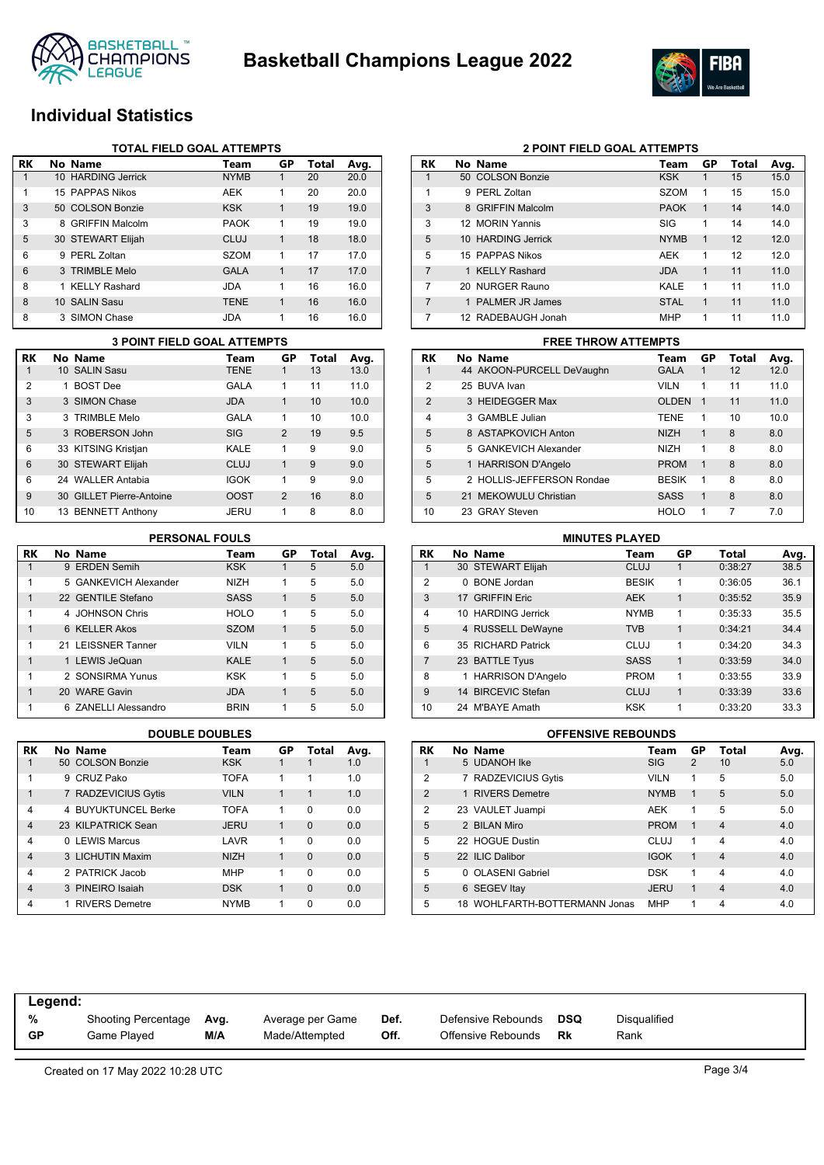



## **Individual Statistics**

|           | <b>TOTAL FIELD GOAL ATTEMPTS</b> |                      |             |              |       |      |  |  |  |
|-----------|----------------------------------|----------------------|-------------|--------------|-------|------|--|--|--|
| <b>RK</b> |                                  | No Name              | Team        | GP           | Total | Avg. |  |  |  |
|           |                                  | 10 HARDING Jerrick   | <b>NYMB</b> |              | 20    | 20.0 |  |  |  |
| 1         |                                  | 15 PAPPAS Nikos      | <b>AEK</b>  | 1            | 20    | 20.0 |  |  |  |
| 3         |                                  | 50 COLSON Bonzie     | <b>KSK</b>  | 1            | 19    | 19.0 |  |  |  |
| 3         |                                  | 8 GRIFFIN Malcolm    | <b>PAOK</b> | 1            | 19    | 19.0 |  |  |  |
| 5         |                                  | 30 STEWART Elijah    | CLUJ        | $\mathbf{1}$ | 18    | 18.0 |  |  |  |
| 6         |                                  | 9 PERL Zoltan        | <b>SZOM</b> | 1            | 17    | 17.0 |  |  |  |
| 6         |                                  | 3 TRIMBLE Melo       | <b>GALA</b> | 1            | 17    | 17.0 |  |  |  |
| 8         | 1                                | <b>KELLY Rashard</b> | JDA         | 1            | 16    | 16.0 |  |  |  |
| 8         |                                  | 10 SALIN Sasu        | <b>TENE</b> | 1            | 16    | 16.0 |  |  |  |
| 8         |                                  | 3 SIMON Chase        | <b>JDA</b>  | 1            | 16    | 16.0 |  |  |  |

|                | <b>3 POINT FIELD GOAL ATTEMPTS</b> |                          |             |                |       |      |  |  |  |
|----------------|------------------------------------|--------------------------|-------------|----------------|-------|------|--|--|--|
| <b>RK</b>      |                                    | No Name                  | Team        | <b>GP</b>      | Total | Avg. |  |  |  |
| 1              |                                    | 10 SALIN Sasu            | <b>TENE</b> | 1              | 13    | 13.0 |  |  |  |
| $\overline{2}$ | 1                                  | <b>BOST Dee</b>          | GALA        | 1              | 11    | 11.0 |  |  |  |
| 3              |                                    | 3 SIMON Chase            | <b>JDA</b>  | 1              | 10    | 10.0 |  |  |  |
| 3              |                                    | 3 TRIMBLE Melo           | GALA        | 1              | 10    | 10.0 |  |  |  |
| 5              |                                    | 3 ROBERSON John          | SIG         | $\mathfrak{p}$ | 19    | 9.5  |  |  |  |
| 6              |                                    | 33 KITSING Kristjan      | KAI F       | 1              | 9     | 9.0  |  |  |  |
| 6              |                                    | 30 STEWART Elijah        | CLUJ        | 1              | 9     | 9.0  |  |  |  |
| 6              |                                    | 24 WALLER Antabia        | <b>IGOK</b> | 1              | 9     | 9.0  |  |  |  |
| 9              |                                    | 30 GILLET Pierre-Antoine | <b>OOST</b> | $\mathfrak{p}$ | 16    | 8.0  |  |  |  |
| 10             |                                    | 13 BENNETT Anthony       | JERU        | 1              | 8     | 8.0  |  |  |  |

| RK | No Name               | Team        | GP | Total | Avg. |
|----|-----------------------|-------------|----|-------|------|
|    | 9 ERDEN Semih         | <b>KSK</b>  |    | 5     | 5.0  |
| 1  | 5 GANKEVICH Alexander | <b>NIZH</b> | 1  | 5     | 5.0  |
| 1  | 22 GENTILE Stefano    | <b>SASS</b> | 1  | 5     | 5.0  |
| 1  | 4 JOHNSON Chris       | <b>HOLO</b> | 1  | 5     | 5.0  |
| 1  | 6 KELLER Akos         | <b>SZOM</b> | 1  | 5     | 5.0  |
| 1  | 21 LEISSNER Tanner    | <b>VILN</b> | 1  | 5     | 5.0  |
| 1  | 1 LEWIS JeQuan        | KAI F       | 1  | 5     | 5.0  |
| 1  | 2 SONSIRMA Yunus      | <b>KSK</b>  | 1  | 5     | 5.0  |
| 1  | 20 WARE Gavin         | <b>JDA</b>  | 1  | 5     | 5.0  |
| 1  | 6 ZANELLI Alessandro  | <b>BRIN</b> | 1  | 5     | 5.0  |

| <b>RK</b>      | No Name               | Team        | GP | Total    | Avg. |
|----------------|-----------------------|-------------|----|----------|------|
|                | 50 COLSON Bonzie      | <b>KSK</b>  |    |          | 1.0  |
| 1              | 9 CRUZ Pako           | <b>TOFA</b> | 1  | 1        | 1.0  |
| 1              | 7 RADZEVICIUS Gytis   | <b>VILN</b> | 1  | 1        | 1.0  |
| 4              | 4 BUYUKTUNCEL Berke   | <b>TOFA</b> | 1  | 0        | 0.0  |
| $\overline{4}$ | 23 KILPATRICK Sean    | <b>JERU</b> | 1  | $\Omega$ | 0.0  |
| 4              | 0 LEWIS Marcus        | LAVR        | 1  | $\Omega$ | 0.0  |
| $\overline{4}$ | 3 LICHUTIN Maxim      | <b>NIZH</b> | 1  | $\Omega$ | 0.0  |
| 4              | 2 PATRICK Jacob       | <b>MHP</b>  | 1  | 0        | 0.0  |
| $\overline{4}$ | 3 PINEIRO Isaiah      | <b>DSK</b>  | 1  | $\Omega$ | 0.0  |
| 4              | <b>RIVERS Demetre</b> | <b>NYMB</b> | 1  | ŋ        | 0.0  |

|--|

| RK             | No Name            | Team        | GP          | Total | Avg. |
|----------------|--------------------|-------------|-------------|-------|------|
| 1              | 50 COLSON Bonzie   | <b>KSK</b>  | 1           | 15    | 15.0 |
| 1              | 9 PERL Zoltan      | <b>SZOM</b> | 1           | 15    | 15.0 |
| 3              | 8 GRIFFIN Malcolm  | <b>PAOK</b> | $\mathbf 1$ | 14    | 14.0 |
| 3              | 12 MORIN Yannis    | SIG         | 1           | 14    | 14.0 |
| 5              | 10 HARDING Jerrick | <b>NYMB</b> | 1           | 12    | 12.0 |
| 5              | 15 PAPPAS Nikos    | AEK         | 1           | 12    | 12.0 |
| 7              | 1 KELLY Rashard    | <b>JDA</b>  | 1           | 11    | 11.0 |
| 7              | 20 NURGER Rauno    | KALE        | 1           | 11    | 11.0 |
| $\overline{7}$ | 1 PALMER JR James  | <b>STAL</b> | 1           | 11    | 11.0 |
| 7              | 12 RADEBAUGH Jonah | <b>MHP</b>  | 1           | 11    | 11.0 |

### **3 POINT FIELD GOAL ATTEMPTS FREE THROW ATTEMPTS**

| RK             |  | No Name                   | Team         | GP           | Total | Avg. |  |  |  |  |
|----------------|--|---------------------------|--------------|--------------|-------|------|--|--|--|--|
|                |  | 44 AKOON-PURCELL DeVaughn | <b>GALA</b>  | 1            | 12    | 12.0 |  |  |  |  |
| 2              |  | 25 BUVA Ivan              | <b>VILN</b>  | 1            | 11    | 11.0 |  |  |  |  |
| $\mathfrak{p}$ |  | 3 HEIDEGGER Max           | <b>OLDEN</b> | $\mathbf 1$  | 11    | 11.0 |  |  |  |  |
| 4              |  | 3 GAMBLE Julian           | <b>TENE</b>  | 1            | 10    | 10.0 |  |  |  |  |
| 5              |  | 8 ASTAPKOVICH Anton       | <b>NIZH</b>  | 1            | 8     | 8.0  |  |  |  |  |
| 5              |  | 5 GANKEVICH Alexander     | <b>NIZH</b>  | 1            | 8     | 8.0  |  |  |  |  |
| 5              |  | 1 HARRISON D'Angelo       | PROM         | $\mathbf{1}$ | 8     | 8.0  |  |  |  |  |
| 5              |  | 2 HOLLIS-JEFFERSON Rondae | <b>BESIK</b> | 1            | 8     | 8.0  |  |  |  |  |
| 5              |  | 21 MEKOWULU Christian     | <b>SASS</b>  | 1            | 8     | 8.0  |  |  |  |  |
| 10             |  | 23 GRAY Steven            | <b>HOLO</b>  | 1            | 7     | 7.0  |  |  |  |  |

## **PERSONAL FOULS MINUTES PLAYED**

| <b>RK</b>      |   | No Name             | Team         | GP | Total   | Avg. |
|----------------|---|---------------------|--------------|----|---------|------|
| 1              |   | 30 STEWART Elijah   | <b>CLUJ</b>  | 1  | 0:38:27 | 38.5 |
| $\overline{2}$ | 0 | <b>BONE</b> Jordan  | <b>BESIK</b> | 1  | 0:36:05 | 36.1 |
| 3              |   | 17 GRIFFIN Eric     | <b>AEK</b>   | 1  | 0:35:52 | 35.9 |
| 4              |   | 10 HARDING Jerrick  | <b>NYMB</b>  | 1  | 0:35:33 | 35.5 |
| 5              |   | 4 RUSSELL DeWayne   | <b>TVB</b>   | 1  | 0:34:21 | 34.4 |
| 6              |   | 35 RICHARD Patrick  | <b>CLUJ</b>  | 1  | 0:34:20 | 34.3 |
| 7              |   | 23 BATTLE Tyus      | <b>SASS</b>  | 1  | 0:33:59 | 34.0 |
| 8              |   | 1 HARRISON D'Angelo | <b>PROM</b>  | 1  | 0:33:55 | 33.9 |
| 9              |   | 14 BIRCEVIC Stefan  | CLUJ         | 1  | 0:33:39 | 33.6 |
| 10             |   | 24 M'BAYE Amath     | <b>KSK</b>   | 1  | 0:33:20 | 33.3 |

### **DOUBLE DOUBLES OFFENSIVE REBOUNDS**

| <b>RK</b>      |              | No Name                       | Team        | GP | <b>Total</b>   | Avg. |
|----------------|--------------|-------------------------------|-------------|----|----------------|------|
| 1              |              | 5 UDANOH Ike                  | <b>SIG</b>  | 2  | 10             | 5.0  |
| $\overline{2}$ |              | 7 RADZEVICIUS Gytis           | <b>VILN</b> | 1  | 5              | 5.0  |
| $\overline{2}$ |              | 1 RIVERS Demetre              | <b>NYMB</b> | 1  | 5              | 5.0  |
| $\overline{2}$ |              | 23 VAULET Juampi              | <b>AEK</b>  | 1  | 5              | 5.0  |
| 5              |              | 2 BILAN Miro                  | <b>PROM</b> | 1  | $\overline{4}$ | 4.0  |
| 5              |              | 22 HOGUE Dustin               | CLUJ        | 1  | $\overline{4}$ | 4.0  |
| 5              |              | 22 ILIC Dalibor               | <b>IGOK</b> | 1  | $\overline{4}$ | 4.0  |
| 5              | <sup>n</sup> | <b>OLASENI Gabriel</b>        | <b>DSK</b>  | 1  | $\overline{4}$ | 4.0  |
| 5              |              | 6 SEGEV Itay                  | <b>JERU</b> | 1  | $\overline{4}$ | 4.0  |
| 5              |              | 18 WOHLFARTH-BOTTERMANN Jonas | <b>MHP</b>  | 1  | 4              | 4.0  |

| Legend:   |                     |      |                  |      |                    |     |              |  |
|-----------|---------------------|------|------------------|------|--------------------|-----|--------------|--|
| %         | Shooting Percentage | Avg. | Average per Game | Def. | Defensive Rebounds | DSQ | Disqualified |  |
| <b>GP</b> | Game Played         | M/A  | Made/Attempted   | Off. | Offensive Rebounds | Rk  | Rank         |  |